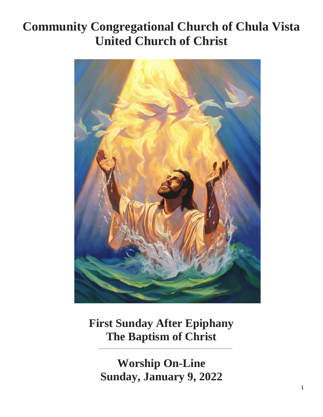# **Community Congregational Church of Chula Vista United Church of Christ**



**First Sunday After Epiphany The Baptism of Christ**

**Worship On-Line Sunday, January 9, 2022**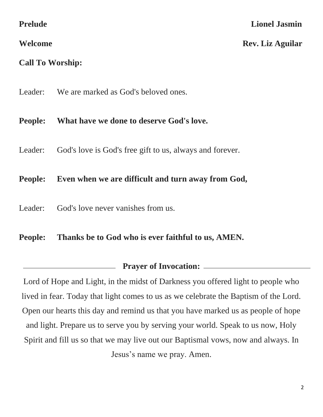# **Call To Worship:**

Leader: We are marked as God's beloved ones.

# **People: What have we done to deserve God's love.**

Leader: God's love is God's free gift to us, always and forever.

### **People: Even when we are difficult and turn away from God,**

Leader: God's love never vanishes from us.

### **People: Thanks be to God who is ever faithful to us, AMEN.**

### **Prayer of Invocation:**

Lord of Hope and Light, in the midst of Darkness you offered light to people who lived in fear. Today that light comes to us as we celebrate the Baptism of the Lord. Open our hearts this day and remind us that you have marked us as people of hope and light. Prepare us to serve you by serving your world. Speak to us now, Holy Spirit and fill us so that we may live out our Baptismal vows, now and always. In Jesus's name we pray. Amen.

### **Lionel Jasmin**

### **Welcome Rev. Liz Aguilar**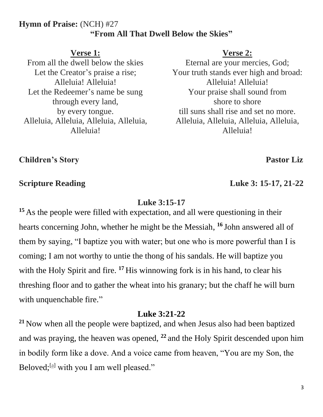### **Hymn of Praise:** (NCH) #27 **"From All That Dwell Below the Skies"**

### **Verse 1:**

From all the dwell below the skies Let the Creator's praise a rise; Alleluia! Alleluia! Let the Redeemer's name be sung through every land, by every tongue. Alleluia, Alleluia, Alleluia, Alleluia, Alleluia!

### **Verse 2:**

Eternal are your mercies, God; Your truth stands ever high and broad: Alleluia! Alleluia! Your praise shall sound from shore to shore till suns shall rise and set no more. Alleluia, Alleluia, Alleluia, Alleluia, Alleluia!

**Children's Story Pastor Liz**

### **Luke 3:15-17**

<sup>15</sup> As the people were filled with expectation, and all were questioning in their hearts concerning John, whether he might be the Messiah, **<sup>16</sup>** John answered all of them by saying, "I baptize you with water; but one who is more powerful than I is coming; I am not worthy to untie the thong of his sandals. He will baptize you with the Holy Spirit and fire. <sup>17</sup> His winnowing fork is in his hand, to clear his threshing floor and to gather the wheat into his granary; but the chaff he will burn with unquenchable fire."

### **Luke 3:21-22**

**<sup>21</sup>** Now when all the people were baptized, and when Jesus also had been baptized and was praying, the heaven was opened, **<sup>22</sup>** and the Holy Spirit descended upon him in bodily form like a dove. And a voice came from heaven, "You are my Son, the Beloved;<sup>[\[a\]](https://www.biblegateway.com/passage/?search=Luke+3%3A21-22&version=NRSV#fen-NRSV-25040a)</sup> with you I am well pleased."

**Scripture Reading Luke 3: 15-17, 21-22**